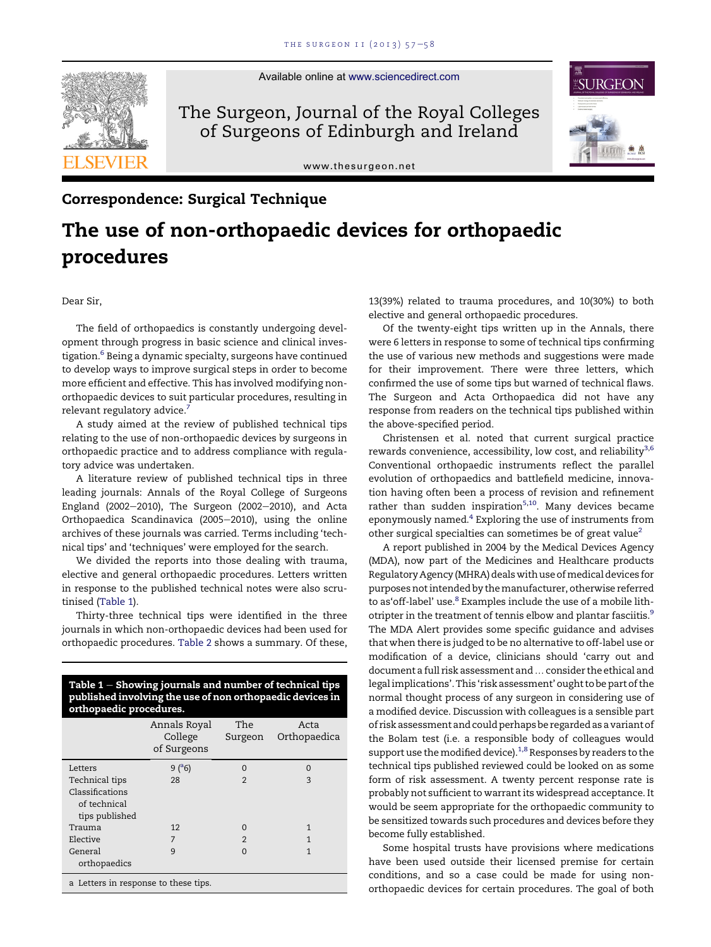

Available online at [www.sciencedirect.com](www.sciencedirect.com/science/journal/1479666X)

The Surgeon, Journal of the Royal Colleges of Surgeons of Edinburgh and Ireland

[www.thesurgeon.net](http://www.thesurgeon.net)



## Correspondence: Surgical Technique

## The use of non-orthopaedic devices for orthopaedic procedures

Dear Sir,

The field of orthopaedics is constantly undergoing development through progress in basic science and clinical investigation.<sup>6</sup> Being a dynamic specialty, surgeons have continued to develop ways to improve surgical steps in order to become more efficient and effective. This has involved modifying nonorthopaedic devices to suit particular procedures, resulting in relevant regulatory advice.<sup>7</sup>

A study aimed at the review of published technical tips relating to the use of non-orthopaedic devices by surgeons in orthopaedic practice and to address compliance with regulatory advice was undertaken.

A literature review of published technical tips in three leading journals: Annals of the Royal College of Surgeons England (2002 $-$ 2010), The Surgeon (2002 $-$ 2010), and Acta Orthopaedica Scandinavica (2005-2010), using the online archives of these journals was carried. Terms including 'technical tips' and 'techniques' were employed for the search.

We divided the reports into those dealing with trauma, elective and general orthopaedic procedures. Letters written in response to the published technical notes were also scrutinised (Table 1).

Thirty-three technical tips were identified in the three journals in which non-orthopaedic devices had been used for orthopaedic procedures. [Table 2](#page-1-0) shows a summary. Of these,

| orthopaedic procedures.              | Table $1$ – Showing journals and number of technical tips<br>published involving the use of non orthopaedic devices in |                |                      |
|--------------------------------------|------------------------------------------------------------------------------------------------------------------------|----------------|----------------------|
|                                      | Annals Royal<br>College<br>of Surgeons                                                                                 | The<br>Surgeon | Acta<br>Orthopaedica |
| Letters                              | 9(°6)                                                                                                                  | $\Omega$       | $\Omega$             |
| Technical tips                       | 28                                                                                                                     | $\mathfrak{D}$ | 3                    |
| Classifications                      |                                                                                                                        |                |                      |
| of technical                         |                                                                                                                        |                |                      |
| tips published                       |                                                                                                                        |                |                      |
| Trauma                               | 12                                                                                                                     | $\Omega$       | 1                    |
| Elective                             | 7                                                                                                                      | $\mathfrak{D}$ | 1                    |
| General<br>orthopaedics              | 9                                                                                                                      | $\Omega$       | 1                    |
| a Letters in response to these tips. |                                                                                                                        |                |                      |

13(39%) related to trauma procedures, and 10(30%) to both elective and general orthopaedic procedures.

Of the twenty-eight tips written up in the Annals, there were 6 letters in response to some of technical tips confirming the use of various new methods and suggestions were made for their improvement. There were three letters, which confirmed the use of some tips but warned of technical flaws. The Surgeon and Acta Orthopaedica did not have any response from readers on the technical tips published within the above-specified period.

Christensen et al. noted that current surgical practice rewards convenience, accessibility, low cost, and reliability<sup>[3](#page-1-0),[6](#page-1-0)</sup> Conventional orthopaedic instruments reflect the parallel evolution of orthopaedics and battlefield medicine, innovation having often been a process of revision and refinement rather than sudden inspiration $5,10$ . Many devices became eponymously named. $4$  Exploring the use of instruments from other surgical specialties can sometimes be of great value<sup>[2](#page-1-0)</sup>

A report published in 2004 by the Medical Devices Agency (MDA), now part of the Medicines and Healthcare products Regulatory Agency (MHRA) deals with use of medical devices for purposes not intended by themanufacturer, otherwise referred to as'off-label' use.<sup>8</sup> Examples include the use of a mobile lith-otripter in the treatment of tennis elbow and plantar fasciitis.<sup>[9](#page-1-0)</sup> The MDA Alert provides some specific guidance and advises that when there is judged to be no alternative to off-label use or modification of a device, clinicians should 'carry out and document a full risk assessment and ... consider the ethical and legal implications'. This 'risk assessment' ought to be part of the normal thought process of any surgeon in considering use of a modified device. Discussion with colleagues is a sensible part of risk assessment and could perhaps be regarded as a variant of the Bolam test (i.e. a responsible body of colleagues would support use the modified device).<sup>1,8</sup> Responses by readers to the technical tips published reviewed could be looked on as some form of risk assessment. A twenty percent response rate is probably not sufficient to warrant its widespread acceptance. It would be seem appropriate for the orthopaedic community to be sensitized towards such procedures and devices before they become fully established.

Some hospital trusts have provisions where medications have been used outside their licensed premise for certain conditions, and so a case could be made for using nonorthopaedic devices for certain procedures. The goal of both